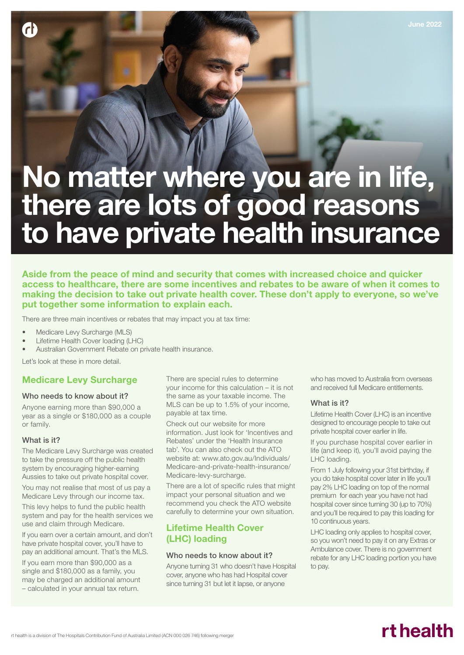# No matter where you are in life, there are lots of good reasons to have private health insurance

## Aside from the peace of mind and security that comes with increased choice and quicker access to healthcare, there are some incentives and rebates to be aware of when it comes to making the decision to take out private health cover. These don't apply to everyone, so we've put together some information to explain each.

There are three main incentives or rebates that may impact you at tax time:

- Medicare Levy Surcharge (MLS)
- Lifetime Health Cover loading (LHC)
- Australian Government Rebate on private health insurance.

Let's look at these in more detail.

### Medicare Levy Surcharge

#### Who needs to know about it?

Anyone earning more than \$90,000 a year as a single or \$180,000 as a couple or family.

#### What is it?

**r** 

The Medicare Levy Surcharge was created to take the pressure off the public health system by encouraging higher-earning Aussies to take out private hospital cover.

You may not realise that most of us pay a Medicare Levy through our income tax.

This levy helps to fund the public health system and pay for the health services we use and claim through Medicare.

If you earn over a certain amount, and don't have private hospital cover, you'll have to pay an additional amount. That's the MLS.

- If you earn more than \$90,000 as a single and \$180,000 as a family, you may be charged an additional amount
- calculated in your annual tax return.

There are special rules to determine your income for this calculation – it is not the same as your taxable income. The MLS can be up to 1.5% of your income, payable at tax time.

Check out our website for more information. Just look for 'Incentives and Rebates' under the 'Health Insurance tab'. You can also check out the ATO website at: www.ato.gov.au/Individuals/ Medicare-and-private-health-insurance/ Medicare-levy-surcharge.

There are a lot of specific rules that might impact your personal situation and we recommend you check the ATO website carefully to determine your own situation.

# Lifetime Health Cover (LHC) loading

#### Who needs to know about it?

Anyone turning 31 who doesn't have Hospital cover, anyone who has had Hospital cover since turning 31 but let it lapse, or anyone

who has moved to Australia from overseas and received full Medicare entitlements.

#### What is it?

Lifetime Health Cover (LHC) is an incentive designed to encourage people to take out private hospital cover earlier in life.

If you purchase hospital cover earlier in life (and keep it), you'll avoid paying the LHC loading.

From 1 July following your 31st birthday, if you do take hospital cover later in life you'll pay 2% LHC loading on top of the normal premium for each year you have not had hospital cover since turning 30 (up to 70%) and you'll be required to pay this loading for 10 continuous years.

LHC loading only applies to hospital cover, so you won't need to pay it on any Extras or Ambulance cover. There is no government rebate for any LHC loading portion you have to pay.

# rt health